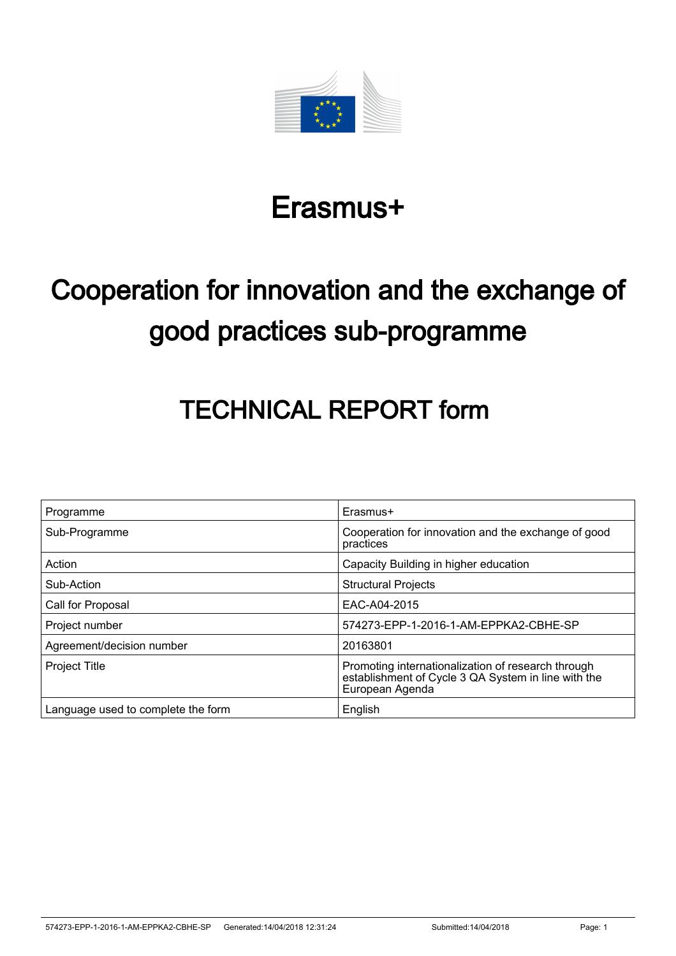

# Erasmus+

# Cooperation for innovation and the exchange of good practices sub-programme

# TECHNICAL REPORT form

| Programme                          | Erasmus+                                                                                                                     |
|------------------------------------|------------------------------------------------------------------------------------------------------------------------------|
| Sub-Programme                      | Cooperation for innovation and the exchange of good<br>practices                                                             |
| Action                             | Capacity Building in higher education                                                                                        |
| Sub-Action                         | <b>Structural Projects</b>                                                                                                   |
| Call for Proposal                  | EAC-A04-2015                                                                                                                 |
| Project number                     | 574273-EPP-1-2016-1-AM-EPPKA2-CBHE-SP                                                                                        |
| Agreement/decision number          | 20163801                                                                                                                     |
| <b>Project Title</b>               | Promoting internationalization of research through<br>establishment of Cycle 3 QA System in line with the<br>European Agenda |
| Language used to complete the form | English                                                                                                                      |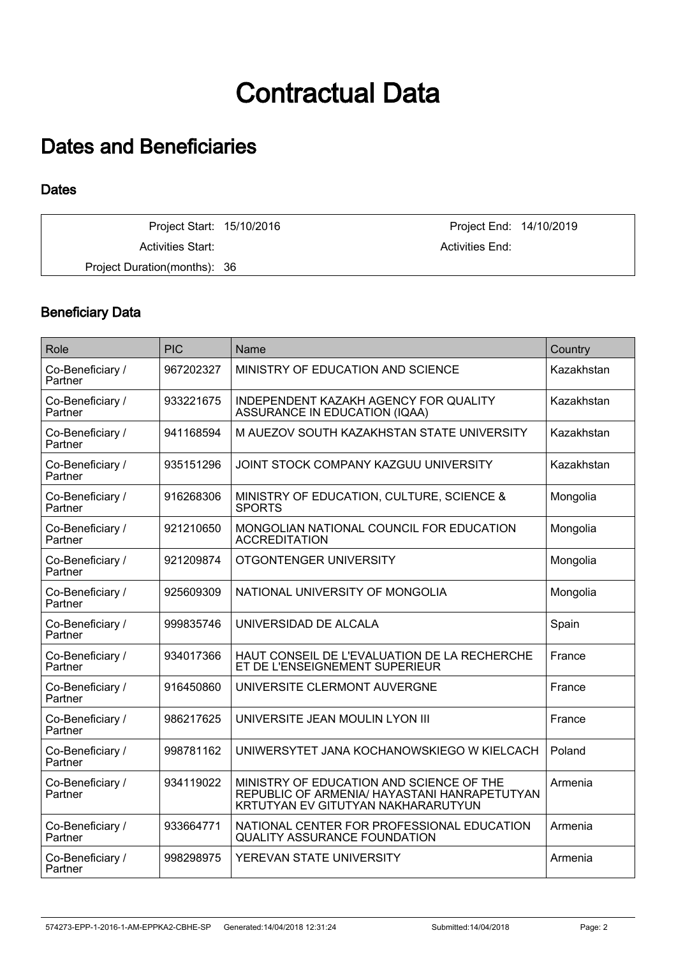# Contractual Data

## Dates and Beneficiaries

### **Dates**

Project Start: 15/10/2016 Project End: 14/10/2019 Activities Start: Activities End: Activities End: Project Duration(months): 36

### Beneficiary Data

| Role                        | <b>PIC</b> | Name                                                                                                                           | Country    |
|-----------------------------|------------|--------------------------------------------------------------------------------------------------------------------------------|------------|
| Co-Beneficiary /<br>Partner | 967202327  | MINISTRY OF EDUCATION AND SCIENCE                                                                                              | Kazakhstan |
| Co-Beneficiary /<br>Partner | 933221675  | INDEPENDENT KAZAKH AGENCY FOR QUALITY<br>ASSURANCE IN EDUCATION (IQAA)                                                         | Kazakhstan |
| Co-Beneficiary /<br>Partner | 941168594  | M AUEZOV SOUTH KAZAKHSTAN STATE UNIVERSITY                                                                                     | Kazakhstan |
| Co-Beneficiary /<br>Partner | 935151296  | JOINT STOCK COMPANY KAZGUU UNIVERSITY                                                                                          | Kazakhstan |
| Co-Beneficiary /<br>Partner | 916268306  | MINISTRY OF EDUCATION, CULTURE, SCIENCE &<br>SPORTS                                                                            | Mongolia   |
| Co-Beneficiary /<br>Partner | 921210650  | MONGOLIAN NATIONAL COUNCIL FOR EDUCATION<br><b>ACCREDITATION</b>                                                               | Mongolia   |
| Co-Beneficiary /<br>Partner | 921209874  | OTGONTENGER UNIVERSITY                                                                                                         | Mongolia   |
| Co-Beneficiary /<br>Partner | 925609309  | NATIONAL UNIVERSITY OF MONGOLIA                                                                                                | Mongolia   |
| Co-Beneficiary /<br>Partner | 999835746  | UNIVERSIDAD DE ALCALA                                                                                                          | Spain      |
| Co-Beneficiary /<br>Partner | 934017366  | HAUT CONSEIL DE L'EVALUATION DE LA RECHERCHE<br>ET DE L'ENSEIGNEMENT SUPERIEUR                                                 | France     |
| Co-Beneficiary /<br>Partner | 916450860  | UNIVERSITE CLERMONT AUVERGNE                                                                                                   | France     |
| Co-Beneficiary /<br>Partner | 986217625  | UNIVERSITE JEAN MOULIN LYON III                                                                                                | France     |
| Co-Beneficiary /<br>Partner | 998781162  | UNIWERSYTET JANA KOCHANOWSKIEGO W KIELCACH                                                                                     | Poland     |
| Co-Beneficiary /<br>Partner | 934119022  | MINISTRY OF EDUCATION AND SCIENCE OF THE<br>REPUBLIC OF ARMENIA/ HAYASTANI HANRAPETUTYAN<br>KRTUTYAN EV GITUTYAN NAKHARARUTYUN | Armenia    |
| Co-Beneficiary /<br>Partner | 933664771  | NATIONAL CENTER FOR PROFESSIONAL EDUCATION<br><b>QUALITY ASSURANCE FOUNDATION</b>                                              | Armenia    |
| Co-Beneficiary /<br>Partner | 998298975  | YEREVAN STATE UNIVERSITY                                                                                                       | Armenia    |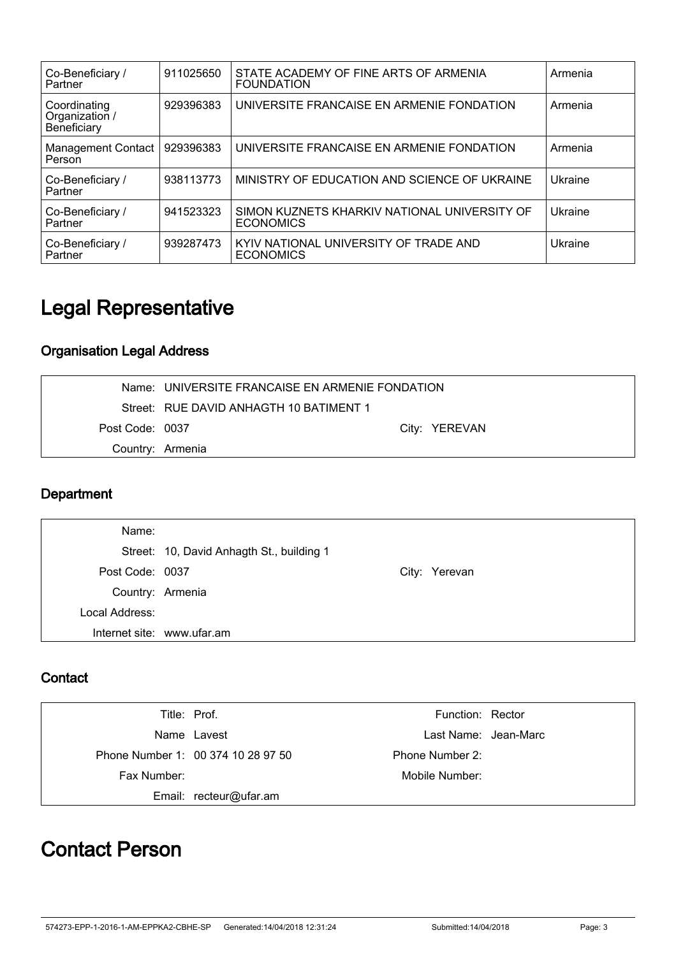| Co-Beneficiary /<br>Partner                   | 911025650 | STATE ACADEMY OF FINE ARTS OF ARMENIA<br><b>FOUNDATION</b>       | Armenia |
|-----------------------------------------------|-----------|------------------------------------------------------------------|---------|
| Coordinating<br>Organization /<br>Beneficiary | 929396383 | UNIVERSITE FRANCAISE EN ARMENIE FONDATION                        | Armenia |
| <b>Management Contact</b><br>Person           | 929396383 | UNIVERSITE FRANCAISE EN ARMENIE FONDATION                        | Armenia |
| Co-Beneficiary /<br>Partner                   | 938113773 | MINISTRY OF EDUCATION AND SCIENCE OF UKRAINE                     | Ukraine |
| Co-Beneficiary /<br>Partner                   | 941523323 | SIMON KUZNETS KHARKIV NATIONAL UNIVERSITY OF<br><b>ECONOMICS</b> | Ukraine |
| Co-Beneficiary /<br>Partner                   | 939287473 | KYIV NATIONAL UNIVERSITY OF TRADE AND<br><b>ECONOMICS</b>        | Ukraine |

# Legal Representative

### Organisation Legal Address

|                 | Name: UNIVERSITE FRANCAISE EN ARMENIE FONDATION |  |               |
|-----------------|-------------------------------------------------|--|---------------|
|                 | Street: RUE DAVID ANHAGTH 10 BATIMENT 1         |  |               |
| Post Code: 0037 |                                                 |  | City: YEREVAN |
|                 | Country: Armenia                                |  |               |

### **Department**

| Name:           |                                           |               |
|-----------------|-------------------------------------------|---------------|
|                 | Street: 10, David Anhagth St., building 1 |               |
| Post Code: 0037 |                                           | City: Yerevan |
|                 | Country: Armenia                          |               |
| Local Address:  |                                           |               |
|                 | Internet site: www.ufar.am                |               |

### **Contact**

|             | Title: Prof.                       | Function: Rector     |  |
|-------------|------------------------------------|----------------------|--|
|             | Name Lavest                        | Last Name: Jean-Marc |  |
|             | Phone Number 1: 00 374 10 28 97 50 | Phone Number 2:      |  |
| Fax Number: |                                    | Mobile Number:       |  |
|             | Email: recteur@ufar.am             |                      |  |

## Contact Person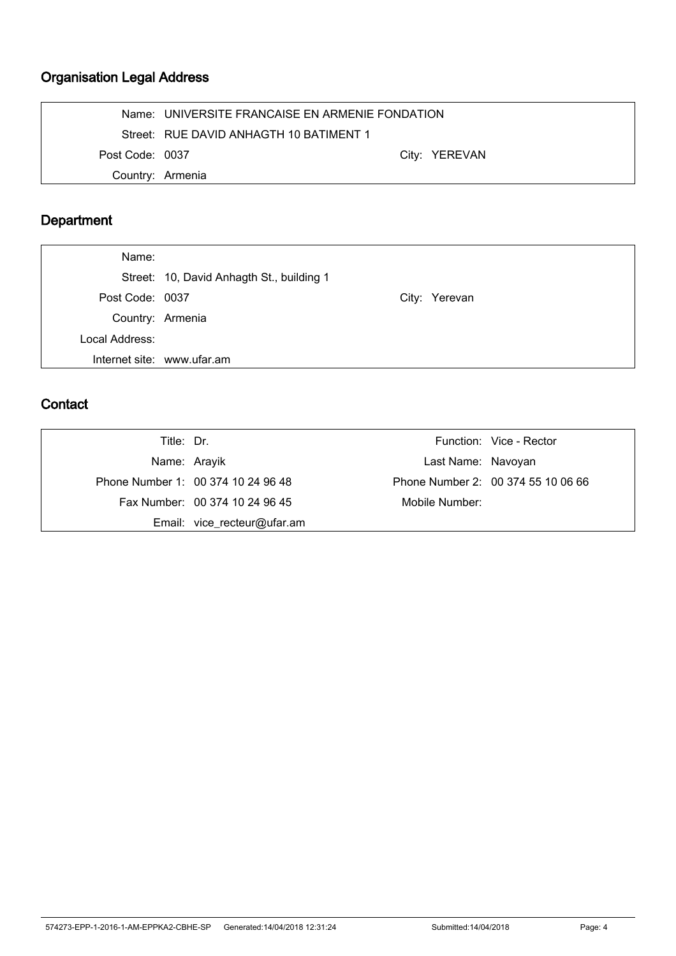### Organisation Legal Address

|                  | Name: UNIVERSITE FRANCAISE EN ARMENIE FONDATION |               |  |
|------------------|-------------------------------------------------|---------------|--|
|                  | Street: RUE DAVID ANHAGTH 10 BATIMENT 1         |               |  |
| Post Code: 0037  |                                                 | City: YEREVAN |  |
| Country: Armenia |                                                 |               |  |

### Department

| Name:           |                                           |               |
|-----------------|-------------------------------------------|---------------|
|                 | Street: 10, David Anhagth St., building 1 |               |
| Post Code: 0037 |                                           | City: Yerevan |
|                 | Country: Armenia                          |               |
| Local Address:  |                                           |               |
|                 | Internet site: www.ufar.am                |               |

### **Contact**

| Title: Dr.   |                                    |                    | Function: Vice - Rector            |
|--------------|------------------------------------|--------------------|------------------------------------|
| Name: Arayik |                                    | Last Name: Navoyan |                                    |
|              | Phone Number 1: 00 374 10 24 96 48 |                    | Phone Number 2: 00 374 55 10 06 66 |
|              | Fax Number: 00 374 10 24 96 45     | Mobile Number:     |                                    |
|              | Email: vice_recteur@ufar.am        |                    |                                    |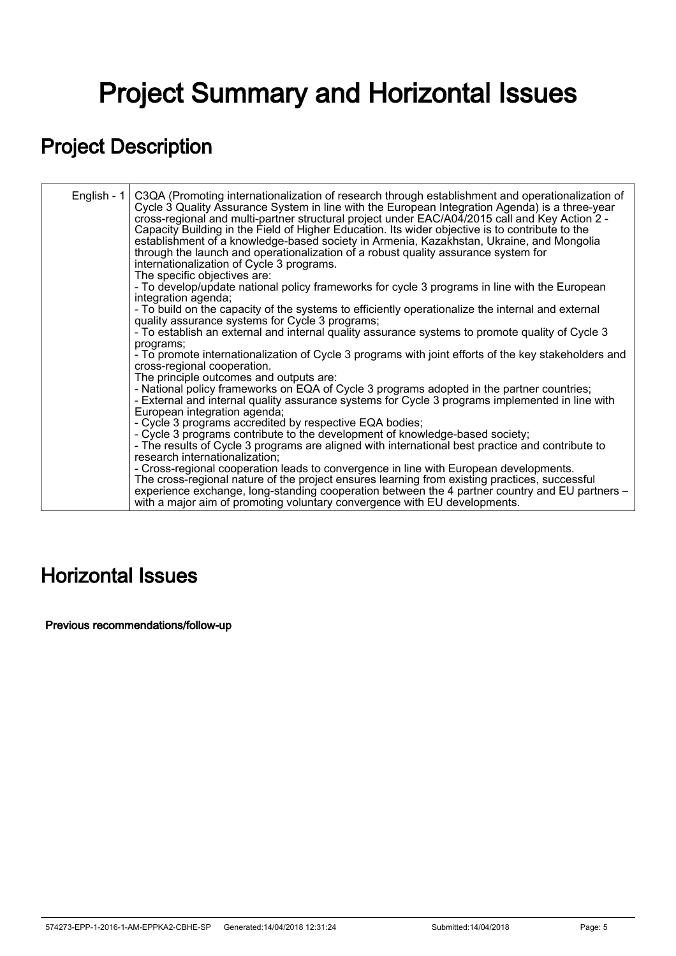# Project Summary and Horizontal Issues

# Project Description

| English - $1$ | C3QA (Promoting internationalization of research through establishment and operationalization of<br>Cycle 3 Quality Assurance System in line with the European Integration Agenda) is a three-year<br>cross-regional and multi-partner structural project under EAC/A04/2015 call and Key Action 2 -<br>Capacity Building in the Field of Higher Education. Its wider objective is to contribute to the<br>establishment of a knowledge-based society in Armenia, Kazakhstan, Ukraine, and Mongolia<br>through the launch and operationalization of a robust quality assurance system for<br>internationalization of Cycle 3 programs.<br>The specific objectives are: |
|---------------|------------------------------------------------------------------------------------------------------------------------------------------------------------------------------------------------------------------------------------------------------------------------------------------------------------------------------------------------------------------------------------------------------------------------------------------------------------------------------------------------------------------------------------------------------------------------------------------------------------------------------------------------------------------------|
|               | - To develop/update national policy frameworks for cycle 3 programs in line with the European<br>integration agenda;                                                                                                                                                                                                                                                                                                                                                                                                                                                                                                                                                   |
|               | - To build on the capacity of the systems to efficiently operationalize the internal and external<br>quality assurance systems for Cycle 3 programs;                                                                                                                                                                                                                                                                                                                                                                                                                                                                                                                   |
|               | - To establish an external and internal quality assurance systems to promote quality of Cycle 3                                                                                                                                                                                                                                                                                                                                                                                                                                                                                                                                                                        |
|               | programs;<br>- To promote internationalization of Cycle 3 programs with joint efforts of the key stakeholders and<br>cross-regional cooperation.<br>The principle outcomes and outputs are:                                                                                                                                                                                                                                                                                                                                                                                                                                                                            |
|               | - National policy frameworks on EQA of Cycle 3 programs adopted in the partner countries;<br>- External and internal quality assurance systems for Cycle 3 programs implemented in line with<br>European integration agenda;                                                                                                                                                                                                                                                                                                                                                                                                                                           |
|               | - Cycle 3 programs accredited by respective EQA bodies;<br>- Cycle 3 programs contribute to the development of knowledge-based society;<br>- The results of Cycle 3 programs are aligned with international best practice and contribute to<br>research internationalization;                                                                                                                                                                                                                                                                                                                                                                                          |
|               | - Cross-regional cooperation leads to convergence in line with European developments.<br>The cross-regional nature of the project ensures learning from existing practices, successful<br>experience exchange, long-standing cooperation between the 4 partner country and EU partners -<br>with a major aim of promoting voluntary convergence with EU developments.                                                                                                                                                                                                                                                                                                  |
|               |                                                                                                                                                                                                                                                                                                                                                                                                                                                                                                                                                                                                                                                                        |

## Horizontal Issues

Previous recommendations/follow-up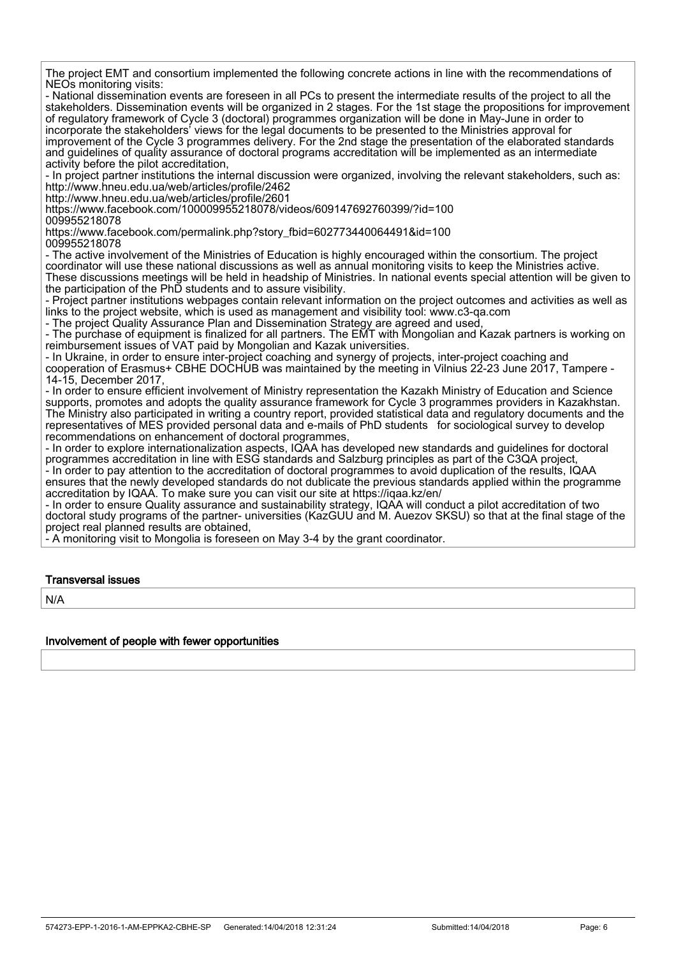The project EMT and consortium implemented the following concrete actions in line with the recommendations of NEOs monitoring visits:

- National dissemination events are foreseen in all PCs to present the intermediate results of the project to all the stakeholders. Dissemination events will be organized in 2 stages. For the 1st stage the propositions for improvement of regulatory framework of Cycle 3 (doctoral) programmes organization will be done in May-June in order to incorporate the stakeholders' views for the legal documents to be presented to the Ministries approval for improvement of the Cycle 3 programmes delivery. For the 2nd stage the presentation of the elaborated standards and guidelines of quality assurance of doctoral programs accreditation will be implemented as an intermediate activity before the pilot accreditation,

- In project partner institutions the internal discussion were organized, involving the relevant stakeholders, such as: http://www.hneu.edu.ua/web/articles/profile/2462

http://www.hneu.edu.ua/web/articles/profile/2601

https://www.facebook.com/100009955218078/videos/609147692760399/?id=100 009955218078

https://www.facebook.com/permalink.php?story\_fbid=602773440064491&id=100 009955218078

- The active involvement of the Ministries of Education is highly encouraged within the consortium. The project coordinator will use these national discussions as well as annual monitoring visits to keep the Ministries active. These discussions meetings will be held in headship of Ministries. In national events special attention will be given to the participation of the PhD students and to assure visibility.

- Project partner institutions webpages contain relevant information on the project outcomes and activities as well as links to the project website, which is used as management and visibility tool: www.c3-qa.com

- The project Quality Assurance Plan and Dissemination Strategy are agreed and used,

- The purchase of equipment is finalized for all partners. The EMT with Mongolian and Kazak partners is working on reimbursement issues of VAT paid by Mongolian and Kazak universities.

- In Ukraine, in order to ensure inter-project coaching and synergy of projects, inter-project coaching and cooperation of Erasmus+ CBHE DOCHUB was maintained by the meeting in Vilnius 22-23 June 2017, Tampere - 14-15, December 2017,

- In order to ensure efficient involvement of Ministry representation the Kazakh Ministry of Education and Science supports, promotes and adopts the quality assurance framework for Cycle 3 programmes providers in Kazakhstan. The Ministry also participated in writing a country report, provided statistical data and regulatory documents and the representatives of MES provided personal data and e-mails of PhD students for sociological survey to develop recommendations on enhancement of doctoral programmes,

- In order to explore internationalization aspects, IQAA has developed new standards and guidelines for doctoral programmes accreditation in line with ESG standards and Salzburg principles as part of the C3QA project, - In order to pay attention to the accreditation of doctoral programmes to avoid duplication of the results, IQAA ensures that the newly developed standards do not dublicate the previous standards applied within the programme

accreditation by IQAA. To make sure you can visit our site at https://iqaa.kz/en/ - In order to ensure Quality assurance and sustainability strategy, IQAA will conduct a pilot accreditation of two doctoral study programs of the partner- universities (KazGUU and M. Auezov SKSU) so that at the final stage of the project real planned results are obtained,

- A monitoring visit to Mongolia is foreseen on May 3-4 by the grant coordinator.

#### Transversal issues

N/A

#### Involvement of people with fewer opportunities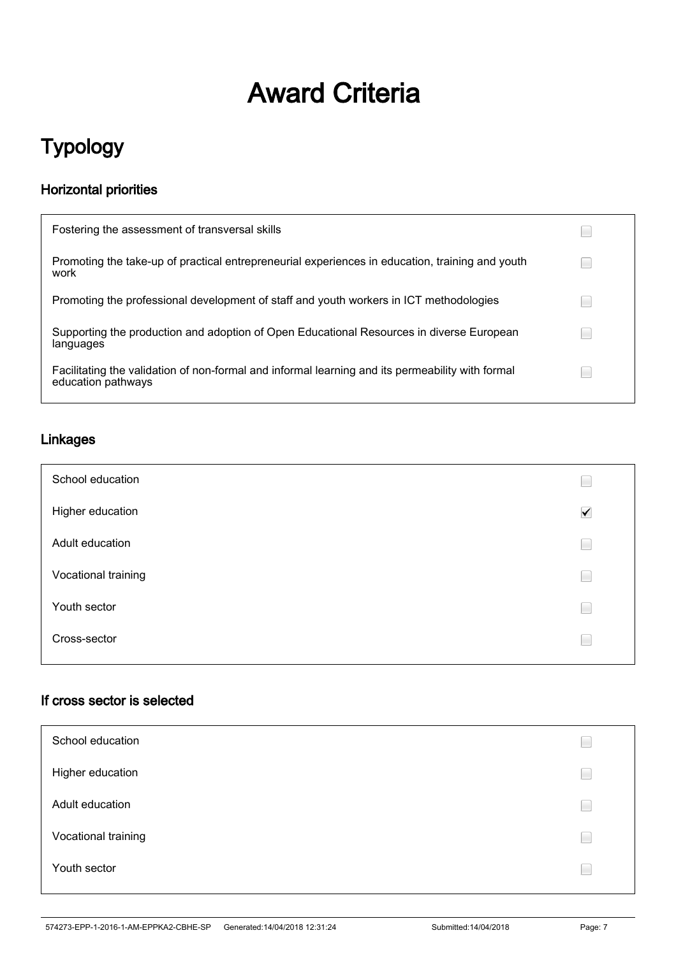# Award Criteria

# Typology

### Horizontal priorities

| Fostering the assessment of transversal skills                                                                         |  |
|------------------------------------------------------------------------------------------------------------------------|--|
| Promoting the take-up of practical entrepreneurial experiences in education, training and youth<br>work                |  |
| Promoting the professional development of staff and youth workers in ICT methodologies                                 |  |
| Supporting the production and adoption of Open Educational Resources in diverse European<br>languages                  |  |
| Facilitating the validation of non-formal and informal learning and its permeability with formal<br>education pathways |  |

### Linkages

| School education    |                      |
|---------------------|----------------------|
| Higher education    | $\blacktriangledown$ |
| Adult education     | E                    |
| Vocational training | E                    |
| Youth sector        | E                    |
| Cross-sector        |                      |

### If cross sector is selected

| School education    |  |
|---------------------|--|
| Higher education    |  |
| Adult education     |  |
| Vocational training |  |
| Youth sector        |  |
|                     |  |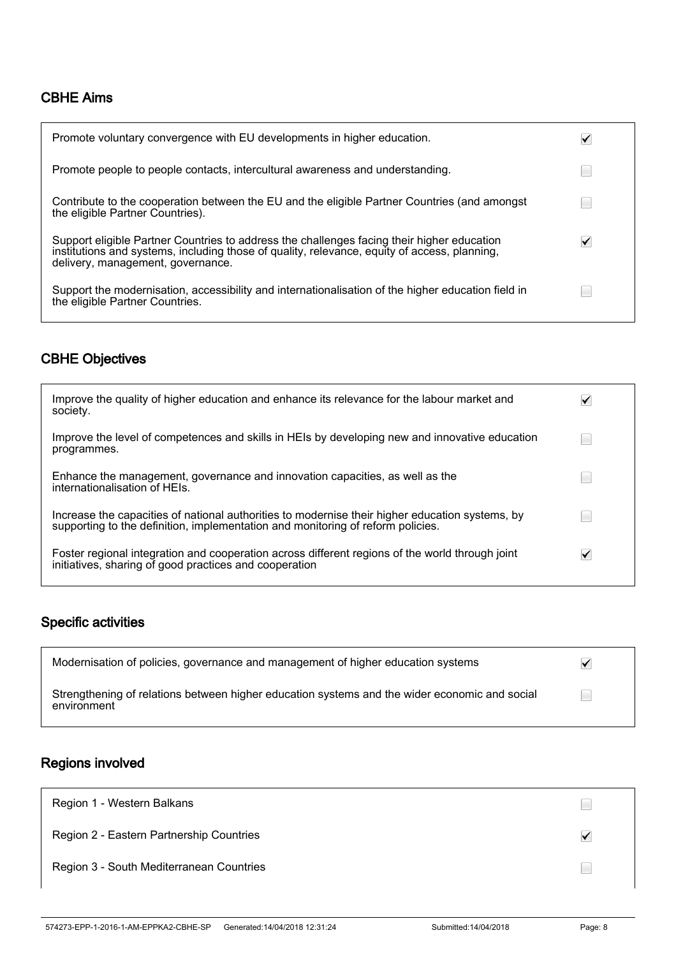### CBHE Aims

| Promote voluntary convergence with EU developments in higher education.                                                                                                                                                         |   |
|---------------------------------------------------------------------------------------------------------------------------------------------------------------------------------------------------------------------------------|---|
| Promote people to people contacts, intercultural awareness and understanding.                                                                                                                                                   |   |
| Contribute to the cooperation between the EU and the eligible Partner Countries (and amongst<br>the eligible Partner Countries).                                                                                                |   |
| Support eligible Partner Countries to address the challenges facing their higher education<br>institutions and systems, including those of quality, relevance, equity of access, planning,<br>delivery, management, governance. | ✓ |
| Support the modernisation, accessibility and internationalisation of the higher education field in<br>the eligible Partner Countries.                                                                                           |   |

### CBHE Objectives

| Improve the quality of higher education and enhance its relevance for the labour market and<br>society.                                                                            |  |
|------------------------------------------------------------------------------------------------------------------------------------------------------------------------------------|--|
| Improve the level of competences and skills in HEIs by developing new and innovative education<br>programmes.                                                                      |  |
| Enhance the management, governance and innovation capacities, as well as the<br>internationalisation of HEIs.                                                                      |  |
| Increase the capacities of national authorities to modernise their higher education systems, by<br>supporting to the definition, implementation and monitoring of reform policies. |  |
| Foster regional integration and cooperation across different regions of the world through joint<br>initiatives, sharing of good practices and cooperation                          |  |

### Specific activities

| Modernisation of policies, governance and management of higher education systems                             | ✓ |
|--------------------------------------------------------------------------------------------------------------|---|
| Strengthening of relations between higher education systems and the wider economic and social<br>environment |   |

### Regions involved

| Region 1 - Western Balkans               |   |
|------------------------------------------|---|
| Region 2 - Eastern Partnership Countries | ✓ |
| Region 3 - South Mediterranean Countries |   |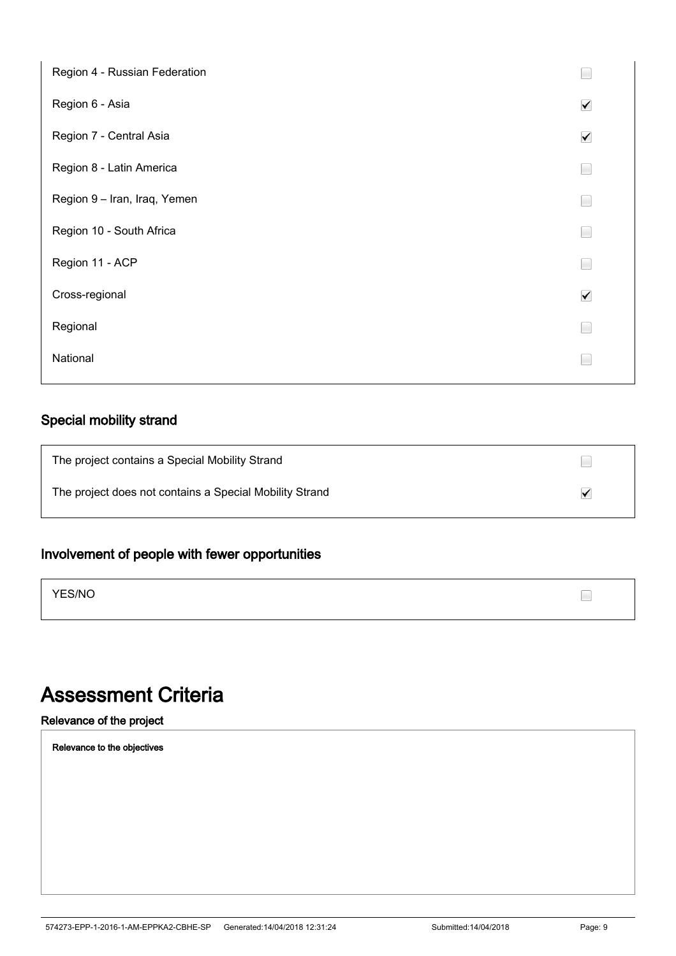| Region 4 - Russian Federation |                      |
|-------------------------------|----------------------|
| Region 6 - Asia               | $\checkmark$         |
| Region 7 - Central Asia       | $\blacktriangledown$ |
| Region 8 - Latin America      | E                    |
| Region 9 - Iran, Iraq, Yemen  | E                    |
| Region 10 - South Africa      | E                    |
| Region 11 - ACP               | $\Box$               |
| Cross-regional                | $\blacktriangledown$ |
| Regional                      | L                    |
| National                      | L                    |
|                               |                      |

### Special mobility strand

| The project contains a Special Mobility Strand          |              |
|---------------------------------------------------------|--------------|
| The project does not contains a Special Mobility Strand | $\checkmark$ |

### Involvement of people with fewer opportunities

YES/NO

## Assessment Criteria

Relevance of the project

Relevance to the objectives

 $\Box$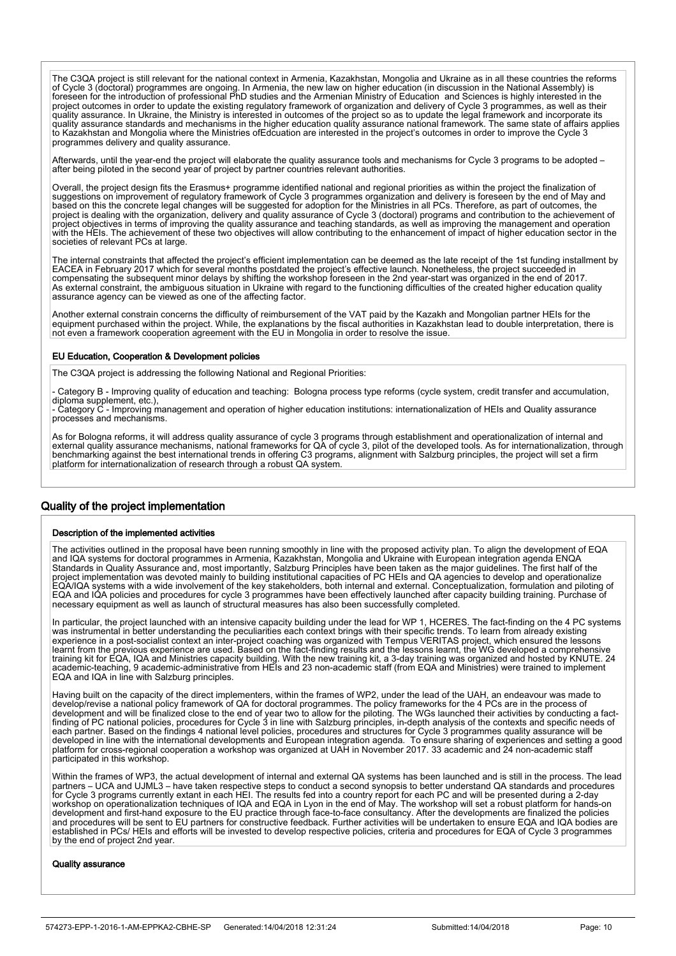The C3QA project is still relevant for the national context in Armenia, Kazakhstan, Mongolia and Ukraine as in all these countries the reforms of Cycle 3 (doctoral) programmes are ongoing. In Armenia, the new law on higher education (in discussion in the National Assembly) is foreseen for the introduction of professional PhD studies and the Armenian Ministry of Education and Sciences is highly interested in the project outcomes in order to update the existing regulatory framework of organization and delivery of Cycle 3 programmes, as well as their quality assurance. In Ukraine, the Ministry is interested in outcomes of the project so as to update the legal framework and incorporate its quality assurance standards and mechanisms in the higher education quality assurance national framework. The same state of affairs applies to Kazakhstan and Mongolia where the Ministries ofEdcuation are interested in the project's outcomes in order to improve the Cycle 3 programmes delivery and quality assurance.

Afterwards, until the year-end the project will elaborate the quality assurance tools and mechanisms for Cycle 3 programs to be adopted – after being piloted in the second year of project by partner countries relevant authorities.

Overall, the project design fits the Erasmus+ programme identified national and regional priorities as within the project the finalization of suggestions on improvement of regulatory framework of Cycle 3 programmes organization and delivery is foreseen by the end of May and based on this the concrete legal changes will be suggested for adoption for the Ministries in all PCs. Therefore, as part of outcomes, the project is dealing with the organization, delivery and quality assurance of Cycle 3 (doctoral) programs and contribution to the achievement of project objectives in terms of improving the quality assurance and teaching standards, as well as improving the management and operation with the HEIs. The achievement of these two objectives will allow contributing to the enhancement of impact of higher education sector in the societies of relevant PCs at large.

The internal constraints that affected the project's efficient implementation can be deemed as the late receipt of the 1st funding installment by EACEA in February 2017 which for several months postdated the project's effective launch. Nonetheless, the project succeeded in compensating the subsequent minor delays by shifting the workshop foreseen in the 2nd year-start was organized in the end of 2017. As external constraint, the ambiguous situation in Ukraine with regard to the functioning difficulties of the created higher education quality assurance agency can be viewed as one of the affecting factor.

Another external constrain concerns the difficulty of reimbursement of the VAT paid by the Kazakh and Mongolian partner HEIs for the equipment purchased within the project. While, the explanations by the fiscal authorities in Kazakhstan lead to double interpretation, there is not even a framework cooperation agreement with the EU in Mongolia in order to resolve the issue.

#### EU Education, Cooperation & Development policies

The C3QA project is addressing the following National and Regional Priorities:

- Category B - Improving quality of education and teaching: Bologna process type reforms (cycle system, credit transfer and accumulation, diploma supplement, etc.)

- Category C - Improving management and operation of higher education institutions: internationalization of HEIs and Quality assurance processes and mechanisms.

As for Bologna reforms, it will address quality assurance of cycle 3 programs through establishment and operationalization of internal and external quality assurance mechanisms, national frameworks for QA of cycle 3, pilot of the developed tools. As for internationalization, through benchmarking against the best international trends in offering C3 programs, alignment with Salzburg principles, the project will set a firm platform for internationalization of research through a robust QA system.

### Quality of the project implementation

İ

#### Description of the implemented activities

The activities outlined in the proposal have been running smoothly in line with the proposed activity plan. To align the development of EQA and IQA systems for doctoral programmes in Armenia, Kazakhstan, Mongolia and Ukraine with European integration agenda ENQA Standards in Quality Assurance and, most importantly, Salzburg Principles have been taken as the major guidelines. The first half of the project implementation was devoted mainly to building institutional capacities of PC HEIs and QA agencies to develop and operationalize EQA/IQA systems with a wide involvement of the key stakeholders, both internal and external. Conceptualization, formulation and piloting of EQA and IQA policies and procedures for cycle 3 programmes have been effectively launched after capacity building training. Purchase of necessary equipment as well as launch of structural measures has also been successfully completed.

In particular, the project launched with an intensive capacity building under the lead for WP 1, HCERES. The fact-finding on the 4 PC systems was instrumental in better understanding the peculiarities each context brings with their specific trends. To learn from already existing experience in a post-socialist context an inter-project coaching was organized with Tempus VERITAS project, which ensured the lessons learnt from the previous experience are used. Based on the fact-finding results and the lessons learnt, the WG developed a comprehensive training kit for EQA, IQA and Ministries capacity building. With the new training kit, a 3-day training was organized and hosted by KNUTE. 24<br>academic-teaching, 9 academic-administrative from HEIs and 23 non-academic staff EQA and IQA in line with Salzburg principles.

Having built on the capacity of the direct implementers, within the frames of WP2, under the lead of the UAH, an endeavour was made to develop/revise a national policy framework of QA for doctoral programmes. The policy frameworks for the 4 PCs are in the process of development and will be finalized close to the end of year two to allow for the piloting. The WGs launched their activities by conducting a factfinding of PC national policies, procedures for Cycle 3 in line with Salzburg principles, in-depth analysis of the contexts and specific needs of each partner. Based on the findings 4 national level policies, procedures and structures for Cycle 3 programmes quality assurance will be developed in line with the international developments and European integration agenda. To ensure sharing of experiences and setting a good platform for cross-regional cooperation a workshop was organized at UAH in November 2017. 33 academic and 24 non-academic staff participated in this workshop.

Within the frames of WP3, the actual development of internal and external QA systems has been launched and is still in the process. The lead partners – UCA and UJML3 – have taken respective steps to conduct a second synopsis to better understand QA standards and procedures for Cycle 3 programs currently extant in each HEI. The results fed into a country report for each PC and will be presented during a 2-day workshop on operationalization techniques of IQA and EQA in Lyon in the end of May. The workshop will set a robust platform for hands-on<br>development and first-hand exposure to the EU practice through face-to-face consultan and procedures will be sent to EU partners for constructive feedback. Further activities will be undertaken to ensure EQA and IQA bodies are established in PCs/ HEIs and efforts will be invested to develop respective policies, criteria and procedures for EQA of Cycle 3 programmes by the end of project 2nd year.

#### Quality assurance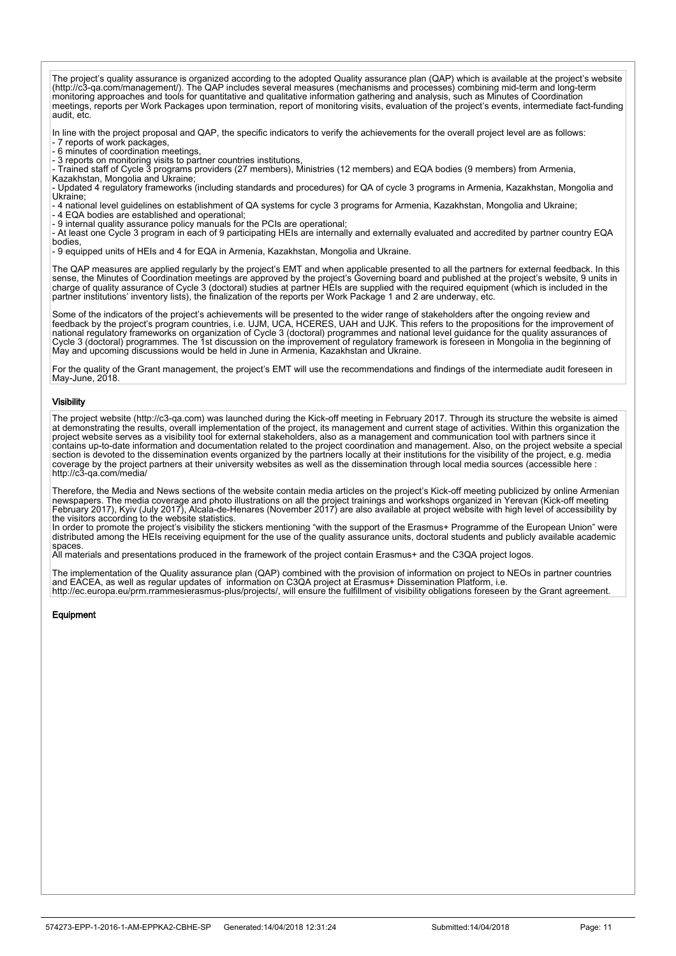The project's quality assurance is organized according to the adopted Quality assurance plan (QAP) which is available at the project's website (http://c3-qa.com/management/). The QAP includes several measures (mechanisms and processes) combining mid-term and long-term monitoring approaches and tools for quantitative and qualitative information gathering and analysis, such as Minutes of Coordination meetings, reports per Work Packages upon termination, report of monitoring visits, evaluation of the project's events, intermediate fact-funding audit, etc.

In line with the project proposal and QAP, the specific indicators to verify the achievements for the overall project level are as follows:

- 7 reports of work packages,<br>- 7 reports of work packages,<br>- 6 minutes of coordination meetings, - 6 minutes of coordination meetings,

- 3 reports on monitoring visits to partner countries institutions,

- Trained staff of Cycle 3 programs providers (27 members), Ministries (12 members) and EQA bodies (9 members) from Armenia,

Kazakhstan, Mongolia and Ukraine;

- Updated 4 regulatory frameworks (including standards and procedures) for QA of cycle 3 programs in Armenia, Kazakhstan, Mongolia and Ukraine;

- 4 national level guidelines on establishment of QA systems for cycle 3 programs for Armenia, Kazakhstan, Mongolia and Ukraine; - 4 Hallottal lever guidemned on coldshormon, c.

- 9 internal quality assurance policy manuals for the PCIs are operational;

- At least one Cycle 3 program in each of 9 participating HEIs are internally and externally evaluated and accredited by partner country EQA bodies,

- 9 equipped units of HEIs and 4 for EQA in Armenia, Kazakhstan, Mongolia and Ukraine.

The QAP measures are applied regularly by the project's EMT and when applicable presented to all the partners for external feedback. In this sense, the Minutes of Coordination meetings are approved by the project's Governing board and published at the project's website, 9 units in charge of quality assurance of Cycle 3 (doctoral) studies at partner HEIs are supplied with the required equipment (which is included in the partner institutions' inventory lists), the finalization of the reports per Work Package 1 and 2 are underway, etc.

Some of the indicators of the project's achievements will be presented to the wider range of stakeholders after the ongoing review and feedback by the project's program countries, i.e. UJM, UCA, HCERES, UAH and UJK. This refers to the propositions for the improvement of national regulatory frameworks on organization of Cycle 3 (doctoral) programmes and national level guidance for the quality assurances of Cycle 3 (doctoral) programmes. The 1st discussion on the improvement of regulatory framework is foreseen in Mongolia in the beginning of May and upcoming discussions would be held in June in Armenia, Kazakhstan and Ukraine.

For the quality of the Grant management, the project's EMT will use the recommendations and findings of the intermediate audit foreseen in May-June, 2018.

#### **Visibility**

The project website (http://c3-qa.com) was launched during the Kick-off meeting in February 2017. Through its structure the website is aimed at demonstrating the results, overall implementation of the project, its management and current stage of activities. Within this organization the project website serves as a visibility tool for external stakeholders, also as a management and communication tool with partners since it contains up-to-date information and documentation related to the project coordination and management. Also, on the project website a special section is devoted to the dissemination events organized by the partners locally at their institutions for the visibility of the project, e.g. media coverage by the project partners at their university websites as well as the dissemination through local media sources (accessible here : http://c3-qa.com/media/

Therefore, the Media and News sections of the website contain media articles on the project's Kick-off meeting publicized by online Armenian newspapers. The media coverage and photo illustrations on all the project trainings and workshops organized in Yerevan (Kick-off meeting February 2017), Kyiv (July 2017), Alcala-de-Henares (November 2017) are also available at project website with high level of accessibility by the visitors according to the website statistics.

In order to promote the project's visibility the stickers mentioning "with the support of the Erasmus+ Programme of the European Union" were distributed among the HEIs receiving equipment for the use of the quality assurance units, doctoral students and publicly available academic spaces

All materials and presentations produced in the framework of the project contain Erasmus+ and the C3QA project logos.

The implementation of the Quality assurance plan (QAP) combined with the provision of information on project to NEOs in partner countries and EACEA, as well as regular updates of information on C3QA project at Erasmus+ Dissemination Platform, i.e. http://ec.europa.eu/prm.rrammesierasmus-plus/projects/, will ensure the fulfillment of visibility obligations foreseen by the Grant agreement.

#### Equipment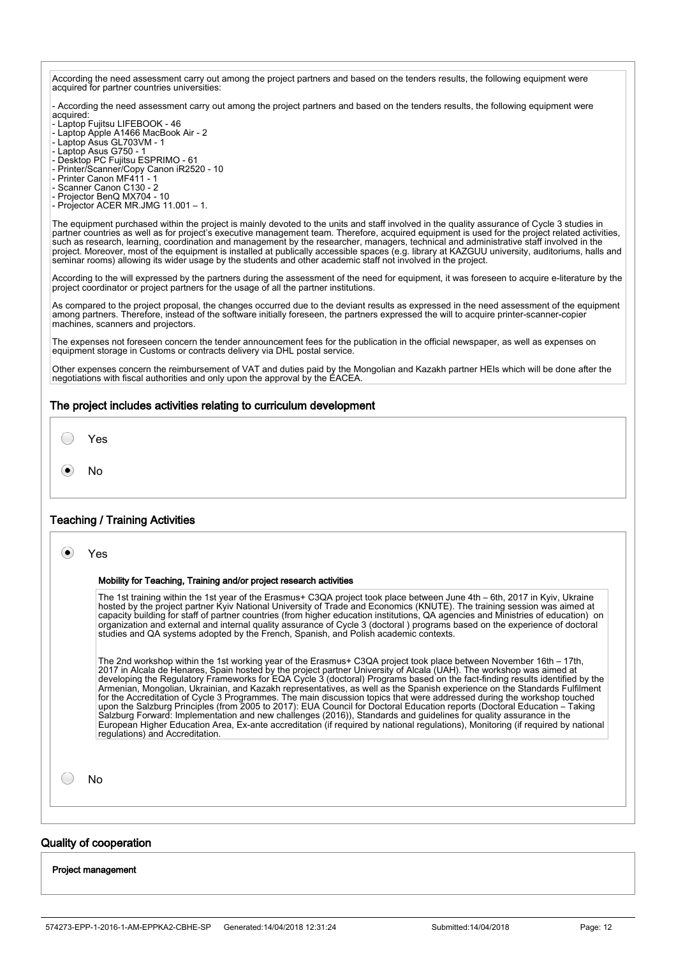According the need assessment carry out among the project partners and based on the tenders results, the following equipment were acquired for partner countries universities:

- According the need assessment carry out among the project partners and based on the tenders results, the following equipment were acquired:

- Laptop Fujitsu LIFEBOOK 46
- Laptop Apple A1466 MacBook Air 2
- Laptop Asus GL703VM 1
- Laptop Asus G750 1
- Desktop PC Fujitsu ESPRIMO 61
- Printer/Scanner/Copy Canon iR2520 10
- Printer Canon MF411 1
- Scanner Canon C130 2
- Projector BenQ MX704 10 - Projector ACER MR.JMG 11.001 – 1.

The equipment purchased within the project is mainly devoted to the units and staff involved in the quality assurance of Cycle 3 studies in partner countries as well as for project's executive management team. Therefore, acquired equipment is used for the project related activities, such as research, learning, coordination and management by the researcher, managers, technical and administrative staff involved in the project. Moreover, most of the equipment is installed at publically accessible spaces (e.g. library at KAZGUU university, auditoriums, halls and seminar rooms) allowing its wider usage by the students and other academic staff not involved in the project.

According to the will expressed by the partners during the assessment of the need for equipment, it was foreseen to acquire e-literature by the project coordinator or project partners for the usage of all the partner institutions.

As compared to the project proposal, the changes occurred due to the deviant results as expressed in the need assessment of the equipment among partners. Therefore, instead of the software initially foreseen, the partners expressed the will to acquire printer-scanner-copier machines, scanners and projectors.

The expenses not foreseen concern the tender announcement fees for the publication in the official newspaper, as well as expenses on equipment storage in Customs or contracts delivery via DHL postal service.

Other expenses concern the reimbursement of VAT and duties paid by the Mongolian and Kazakh partner HEIs which will be done after the negotiations with fiscal authorities and only upon the approval by the EACEA.

#### The project includes activities relating to curriculum development



 $\bullet$ No

#### Teaching / Training Activities

| Yes |
|-----|
|     |

#### Mobility for Teaching, Training and/or project research activities

The 1st training within the 1st year of the Erasmus+ C3QA project took place between June 4th – 6th, 2017 in Kyiv, Ukraine hosted by the project partner Kyiv National University of Trade and Economics (KNUTE). The training session was aimed at capacity building for staff of partner countries (from higher education institutions, QA agencies and Ministries of education) on organization and external and internal quality assurance of Cycle 3 (doctoral ) programs based on the experience of doctoral studies and QA systems adopted by the French, Spanish, and Polish academic contexts.

The 2nd workshop within the 1st working year of the Erasmus+ C3QA project took place between November 16th – 17th,<br>2017 in Alcala de Henares, Spain hosted by the project partner University of Alcala (UAH). The workshop was developing the Regulatory Frameworks for EQA Cycle 3 (doctoral) Programs based on the fact-finding results identified by the Armenian, Mongolian, Ukrainian, and Kazakh representatives, as well as the Spanish experience on the Standards Fulfilment for the Accreditation of Cycle 3 Programmes. The main discussion topics that were addressed during the workshop touched upon the Salzburg Principles (from 2005 to 2017): EUA Council for Doctoral Education reports (Doctoral Education – Taking Salzburg Forward: Implementation and new challenges (2016)), Standards and guidelines for quality assurance in the European Higher Education Area, Ex-ante accreditation (if required by national regulations), Monitoring (if required by national regulations) and Accreditation.

No

 $\bigcirc$ 

### Quality of cooperation

L

Project management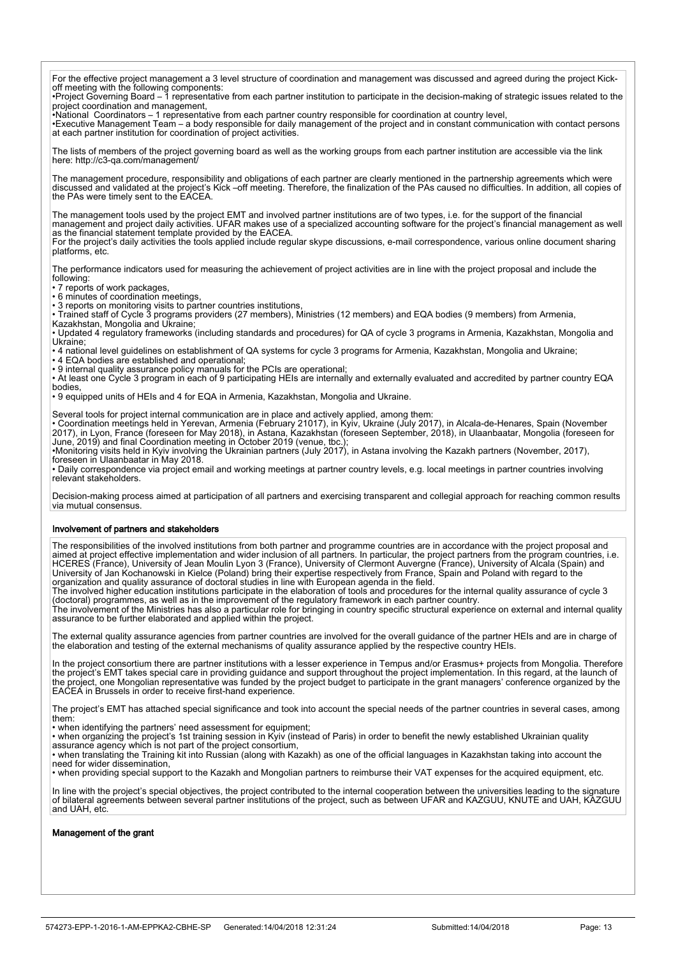For the effective project management a 3 level structure of coordination and management was discussed and agreed during the project Kickoff meeting with the following components:

•Project Governing Board – 1 representative from each partner institution to participate in the decision-making of strategic issues related to the project coordination and management,

•National Coordinators – 1 representative from each partner country responsible for coordination at country level, •Executive Management Team – a body responsible for daily management of the project and in constant communication with contact persons at each partner institution for coordination of project activities.

The lists of members of the project governing board as well as the working groups from each partner institution are accessible via the link here: http://c3-qa.com/management

The management procedure, responsibility and obligations of each partner are clearly mentioned in the partnership agreements which were discussed and validated at the project's Kick –off meeting. Therefore, the finalization of the PAs caused no difficulties. In addition, all copies of the PAs were timely sent to the EACEA.

The management tools used by the project EMT and involved partner institutions are of two types, i.e. for the support of the financial management and project daily activities. UFAR makes use of a specialized accounting software for the project's financial management as well as the financial statement template provided by the EACEA. For the project's daily activities the tools applied include regular skype discussions, e-mail correspondence, various online document sharing platforms, etc.

The performance indicators used for measuring the achievement of project activities are in line with the project proposal and include the following:

• 7 reports of work packages,

• 6 minutes of coordination meetings,

• 3 reports on monitoring visits to partner countries institutions,

• Trained staff of Cycle 3 programs providers (27 members), Ministries (12 members) and EQA bodies (9 members) from Armenia, Kazakhstan, Mongolia and Ukraine;

• Updated 4 regulatory frameworks (including standards and procedures) for QA of cycle 3 programs in Armenia, Kazakhstan, Mongolia and Ukraine;

• 4 national level guidelines on establishment of QA systems for cycle 3 programs for Armenia, Kazakhstan, Mongolia and Ukraine; • 4 EQA bodies are established and operational;

• 9 internal quality assurance policy manuals for the PCIs are operational;

• At least one Cycle 3 program in each of 9 participating HEIs are internally and externally evaluated and accredited by partner country EQA bodies,

• 9 equipped units of HEIs and 4 for EQA in Armenia, Kazakhstan, Mongolia and Ukraine.

Several tools for project internal communication are in place and actively applied, among them: • Coordination meetings held in Yerevan, Armenia (February 21017), in Kyiv, Ukraine (July 2017), in Alcala-de-Henares, Spain (November 2017), in Lyon, France (foreseen for May 2018), in Astana, Kazakhstan (foreseen September, 2018), in Ulaanbaatar, Mongolia (foreseen for June, 2019) and final Coordination meeting in October 2019 (venue, tbc.);

•Monitoring visits held in Kyiv involving the Ukrainian partners (July 2017), in Astana involving the Kazakh partners (November, 2017), foreseen in Ulaanbaatar in May 2018.

• Daily correspondence via project email and working meetings at partner country levels, e.g. local meetings in partner countries involving relevant stakeholders.

Decision-making process aimed at participation of all partners and exercising transparent and collegial approach for reaching common results via mutual consensus.

#### Involvement of partners and stakeholders

The responsibilities of the involved institutions from both partner and programme countries are in accordance with the project proposal and aimed at project effective implementation and wider inclusion of all partners. In particular, the project partners from the program countries, i.e. HCERES (France), University of Jean Moulin Lyon 3 (France), University of Clermont Auvergne (France), University of Alcala (Spain) and University of Jan Kochanowski in Kielce (Poland) bring their expertise respectively from France, Spain and Poland with regard to the organization and quality assurance of doctoral studies in line with European agenda in the field.

The involved higher education institutions participate in the elaboration of tools and procedures for the internal quality assurance of cycle 3 (doctoral) programmes, as well as in the improvement of the regulatory framework in each partner country.

The involvement of the Ministries has also a particular role for bringing in country specific structural experience on external and internal quality assurance to be further elaborated and applied within the project.

The external quality assurance agencies from partner countries are involved for the overall guidance of the partner HEIs and are in charge of the elaboration and testing of the external mechanisms of quality assurance applied by the respective country HEIs.

In the project consortium there are partner institutions with a lesser experience in Tempus and/or Erasmus+ projects from Mongolia. Therefore the project's EMT takes special care in providing guidance and support throughout the project implementation. In this regard, at the launch of the project, one Mongolian representative was funded by the project budget to participate in the grant managers' conference organized by the EACEA in Brussels in order to receive first-hand experience.

The project's EMT has attached special significance and took into account the special needs of the partner countries in several cases, among them:

• when identifying the partners' need assessment for equipment;

• when organizing the project's 1st training session in Kyiv (instead of Paris) in order to benefit the newly established Ukrainian quality

assurance agency which is not part of the project consortium, • when translating the Training kit into Russian (along with Kazakh) as one of the official languages in Kazakhstan taking into account the

need for wider dissemination, • when providing special support to the Kazakh and Mongolian partners to reimburse their VAT expenses for the acquired equipment, etc.

In line with the project's special objectives, the project contributed to the internal cooperation between the universities leading to the signature of bilateral agreements between several partner institutions of the project, such as between UFAR and KAZGUU, KNUTE and UAH, KAZGUU and UAH, etc.

#### Management of the grant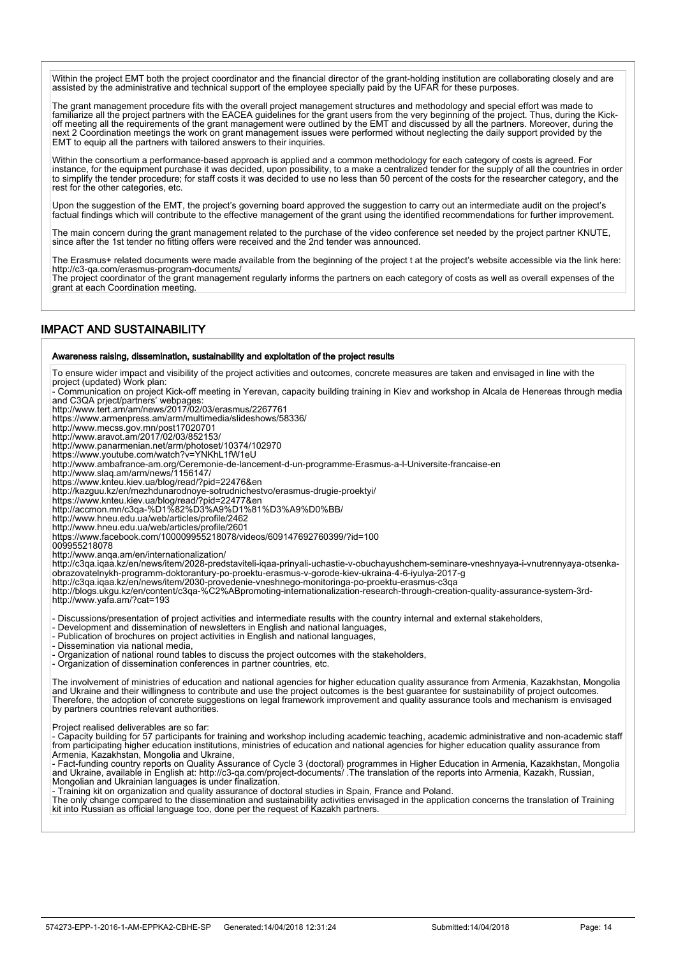Within the project EMT both the project coordinator and the financial director of the grant-holding institution are collaborating closely and are assisted by the administrative and technical support of the employee specially paid by the UFAR for these purposes.

The grant management procedure fits with the overall project management structures and methodology and special effort was made to familiarize all the project partners with the EACEA guidelines for the grant users from the very beginning of the project. Thus, during the Kickoff meeting all the requirements of the grant management were outlined by the EMT and discussed by all the partners. Moreover, during the next 2 Coordination meetings the work on grant management issues were performed without neglecting the daily support provided by the EMT to equip all the partners with tailored answers to their inquiries.

Within the consortium a performance-based approach is applied and a common methodology for each category of costs is agreed. For instance, for the equipment purchase it was decided, upon possibility, to a make a centralized tender for the supply of all the countries in order to simplify the tender procedure; for staff costs it was decided to use no less than 50 percent of the costs for the researcher category, and the rest for the other categories, etc.

Upon the suggestion of the EMT, the project's governing board approved the suggestion to carry out an intermediate audit on the project's factual findings which will contribute to the effective management of the grant using the identified recommendations for further improvement.

The main concern during the grant management related to the purchase of the video conference set needed by the project partner KNUTE, since after the 1st tender no fitting offers were received and the 2nd tender was announced.

The Erasmus+ related documents were made available from the beginning of the project t at the project's website accessible via the link here: http://c3-qa.com/erasmus-program-documents/

The project coordinator of the grant management regularly informs the partners on each category of costs as well as overall expenses of the grant at each Coordination meeting.

### IMPACT AND SUSTAINABILITY

L

#### Awareness raising, dissemination, sustainability and exploitation of the project results

To ensure wider impact and visibility of the project activities and outcomes, concrete measures are taken and envisaged in line with the project (updated) Work plan:

- Communication on project Kick-off meeting in Yerevan, capacity building training in Kiev and workshop in Alcala de Henereas through media and C3QA prject/partners' webpages:

http://www.tert.am/am/news/2017/02/03/erasmus/2267761

https://www.armenpress.am/arm/multimedia/slideshows/58336/

http://www.mecss.gov.mn/post17020701 http://www.aravot.am/2017/02/03/852153/

http://www.panarmenian.net/arm/photoset/10374/102970

https://www.youtube.com/watch?v=YNKhL1fW1eU

http://www.ambafrance-am.org/Ceremonie-de-lancement-d-un-programme-Erasmus-a-l-Universite-francaise-en

http://www.slaq.am/arm/news/1156147/ https://www.knteu.kiev.ua/blog/read/?pid=22476&en

http://kazguu.kz/en/mezhdunarodnoye-sotrudnichestvo/erasmus-drugie-proektyi/

https://www.knteu.kiev.ua/blog/read/?pid=22477&en

http://accmon.mn/c3qa-%D1%82%D3%A9%D1%81%D3%A9%D0%BB/

http://www.hneu.edu.ua/web/articles/profile/2462

http://www.hneu.edu.ua/web/articles/profile/2601

https://www.facebook.com/100009955218078/videos/609147692760399/?id=100

009955218078

http://www.anqa.am/en/internationalization/

http://c3qa.iqaa.kz/en/news/item/2028-predstaviteli-iqaa-prinyali-uchastie-v-obuchayushchem-seminare-vneshnyaya-i-vnutrennyaya-otsenkaobrazovatelnykh-programm-doktorantury-po-proektu-erasmus-v-gorode-kiev-ukraina-4-6-iyulya-2017-g

http://c3qa.iqaa.kz/en/news/item/2030-provedenie-vneshnego-monitoringa-po-proektu-erasmus-c3qa

http://blogs.ukgu.kz/en/content/c3qa-%C2%ABpromoting-internationalization-research-through-creation-quality-assurance-system-3rdhttp://www.yafa.am/?cat=193

- Discussions/presentation of project activities and intermediate results with the country internal and external stakeholders,

- Development and dissemination of newsletters in English and national languages,

- Publication of brochures on project activities in English and national languages,

- Dissemination via national media,

- Organization of national round tables to discuss the project outcomes with the stakeholders,

- Organization of dissemination conferences in partner countries, etc.

The involvement of ministries of education and national agencies for higher education quality assurance from Armenia, Kazakhstan, Mongolia and Ukraine and their willingness to contribute and use the project outcomes is the best guarantee for sustainability of project outcomes. Therefore, the adoption of concrete suggestions on legal framework improvement and quality assurance tools and mechanism is envisaged by partners countries relevant authorities.

Project realised deliverables are so far:

- Capacity building for 57 participants for training and workshop including academic teaching, academic administrative and non-academic staff from participating higher education institutions, ministries of education and national agencies for higher education quality assurance from Armenia, Kazakhstan, Mongolia and Ukraine,

- Fact-funding country reports on Quality Assurance of Cycle 3 (doctoral) programmes in Higher Education in Armenia, Kazakhstan, Mongolia and Ukraine, available in English at: http://c3-qa.com/project-documents/ .The translation of the reports into Armenia, Kazakh, Russian, Mongolian and Ukrainian languages is under finalization.

- Training kit on organization and quality assurance of doctoral studies in Spain, France and Poland.

The only change compared to the dissemination and sustainability activities envisaged in the application concerns the translation of Training<br>kit into Russian as official language too, done per the request of Kazakh partne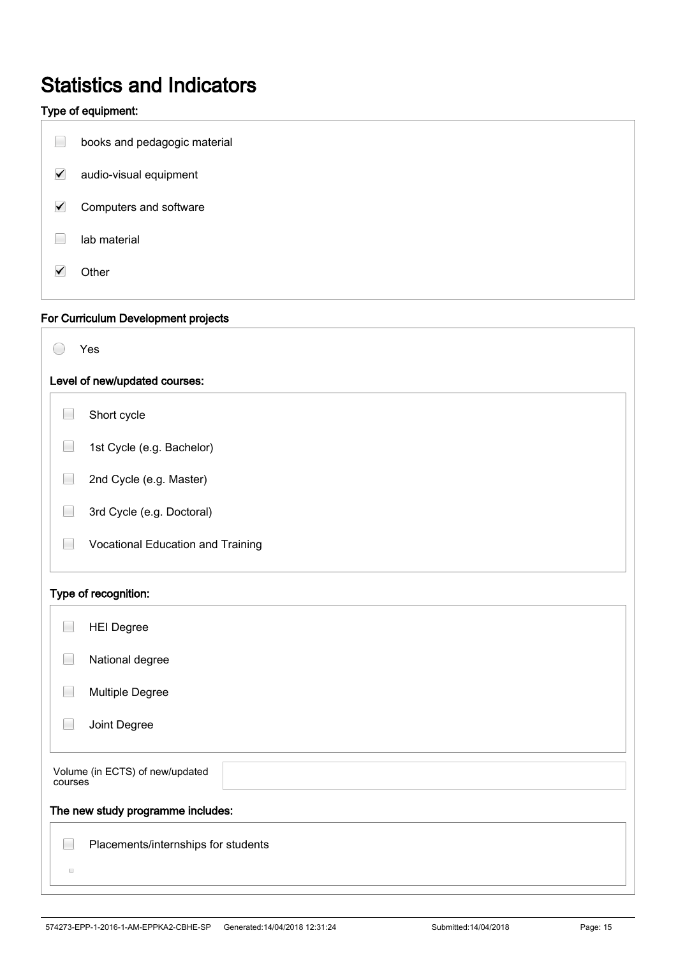# Statistics and Indicators

### Type of equipment:

|                      | i ype or equipment:                 |  |
|----------------------|-------------------------------------|--|
| $\Box$               | books and pedagogic material        |  |
| $\blacktriangledown$ | audio-visual equipment              |  |
| $\blacktriangledown$ | Computers and software              |  |
|                      | lab material                        |  |
| $\blacktriangledown$ | Other                               |  |
|                      | For Curriculum Development projects |  |
|                      | Yes                                 |  |
|                      | Level of new/updated courses:       |  |
| $\Box$               | Short cycle                         |  |
|                      | 1st Cycle (e.g. Bachelor)           |  |
|                      | 2nd Cycle (e.g. Master)             |  |
|                      | 3rd Cycle (e.g. Doctoral)           |  |
|                      | Vocational Education and Training   |  |
|                      | Type of recognition:                |  |
| ۰                    | <b>HEI Degree</b>                   |  |
|                      | National degree                     |  |
|                      | Multiple Degree                     |  |
|                      | Joint Degree                        |  |
| courses              | Volume (in ECTS) of new/updated     |  |
|                      | The new study programme includes:   |  |
| $\Box$               | Placements/internships for students |  |
|                      |                                     |  |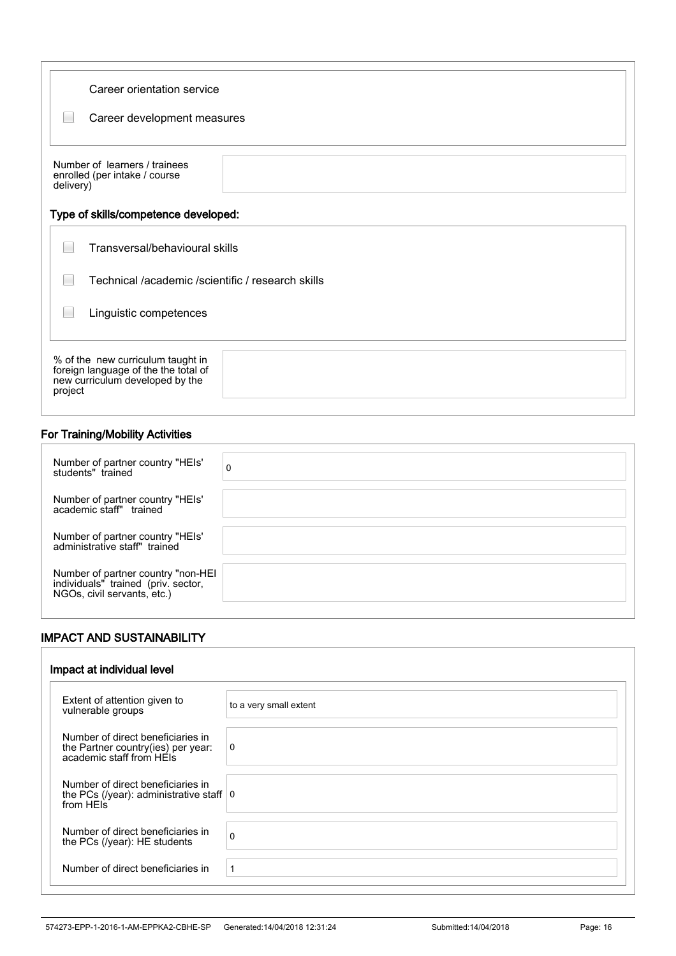| Career orientation service<br>Career development measures                                                               |  |  |
|-------------------------------------------------------------------------------------------------------------------------|--|--|
| Number of learners / trainees<br>enrolled (per intake / course<br>delivery)                                             |  |  |
| Type of skills/competence developed:                                                                                    |  |  |
| Transversal/behavioural skills                                                                                          |  |  |
| Technical /academic /scientific / research skills                                                                       |  |  |
| Linguistic competences                                                                                                  |  |  |
| % of the new curriculum taught in<br>foreign language of the the total of<br>new curriculum developed by the<br>project |  |  |

### For Training/Mobility Activities

İ

İ

| Number of partner country "HEIs"<br>students" trained                                                    | 0 |
|----------------------------------------------------------------------------------------------------------|---|
| Number of partner country "HEIs'<br>academic staff" trained                                              |   |
| Number of partner country "HEIs'<br>administrative staff" trained                                        |   |
| Number of partner country "non-HEI<br>individuals" trained (priv. sector,<br>NGOs, civil servants, etc.) |   |

### IMPACT AND SUSTAINABILITY

| Impact at individual level                                                                          |                        |
|-----------------------------------------------------------------------------------------------------|------------------------|
| Extent of attention given to<br>vulnerable groups                                                   | to a very small extent |
| Number of direct beneficiaries in<br>the Partner country(ies) per year:<br>academic staff from HEIs | 0                      |
| Number of direct beneficiaries in<br>the PCs (/year): administrative staff $ 0\rangle$<br>from HFIs |                        |
| Number of direct beneficiaries in<br>the PCs (/year): HE students                                   | $\Omega$               |
| Number of direct beneficiaries in                                                                   | 1                      |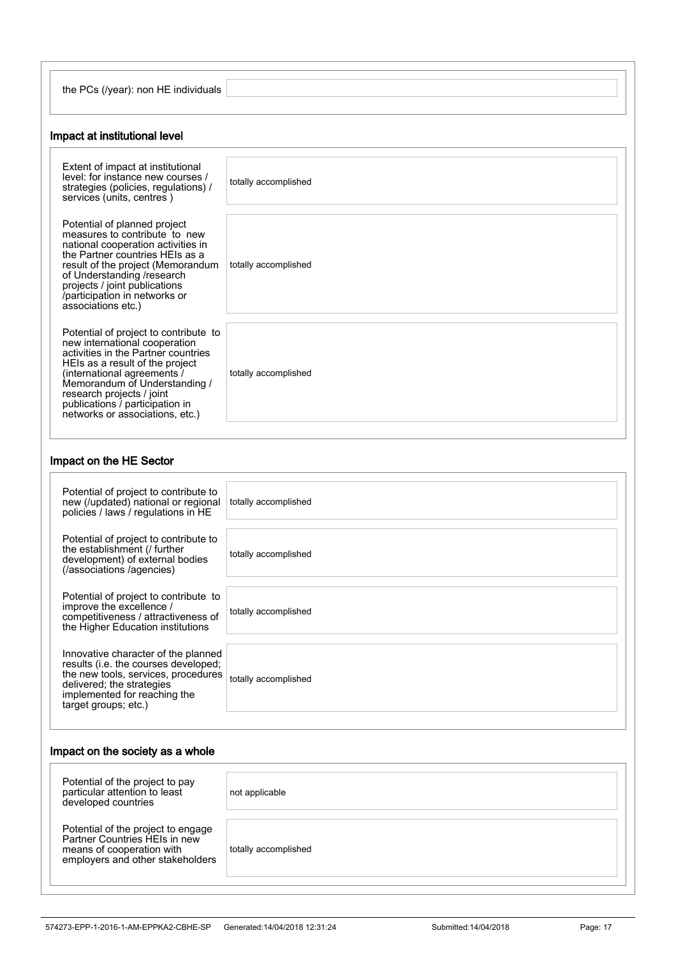| ∈(/vear): non HE individuals<br>the PCs |  |
|-----------------------------------------|--|
|                                         |  |

### Impact at institutional level

| Extent of impact at institutional<br>level: for instance new courses /<br>strategies (policies, regulations) /<br>services (units, centres)                                                                                                                                                                         | totally accomplished |
|---------------------------------------------------------------------------------------------------------------------------------------------------------------------------------------------------------------------------------------------------------------------------------------------------------------------|----------------------|
| Potential of planned project<br>measures to contribute to new<br>national cooperation activities in<br>the Partner countries HEIs as a<br>result of the project (Memorandum<br>of Understanding /research<br>projects / joint publications<br>/participation in networks or<br>associations etc.)                   | totally accomplished |
| Potential of project to contribute to<br>new international cooperation<br>activities in the Partner countries<br>HEIs as a result of the project<br>(international agreements /<br>Memorandum of Understanding /<br>research projects / joint<br>publications / participation in<br>networks or associations, etc.) | totally accomplished |

### Impact on the HE Sector

| Potential of project to contribute to<br>new (/updated) national or regional<br>policies / laws / regulations in HE                                                                                     | totally accomplished |
|---------------------------------------------------------------------------------------------------------------------------------------------------------------------------------------------------------|----------------------|
| Potential of project to contribute to<br>the establishment (/ further<br>development) of external bodies<br>(/associations /agencies)                                                                   | totally accomplished |
| Potential of project to contribute to<br>improve the excellence /<br>competitiveness / attractiveness of<br>the Higher Education institutions                                                           | totally accomplished |
| Innovative character of the planned<br>results (i.e. the courses developed;<br>the new tools, services, procedures<br>delivered; the strategies<br>implemented for reaching the<br>target groups; etc.) | totally accomplished |

### Impact on the society as a whole

| Potential of the project to pay<br>particular attention to least<br>developed countries                                              | not applicable       |
|--------------------------------------------------------------------------------------------------------------------------------------|----------------------|
| Potential of the project to engage<br>Partner Countries HFIs in new<br>means of cooperation with<br>employers and other stakeholders | totally accomplished |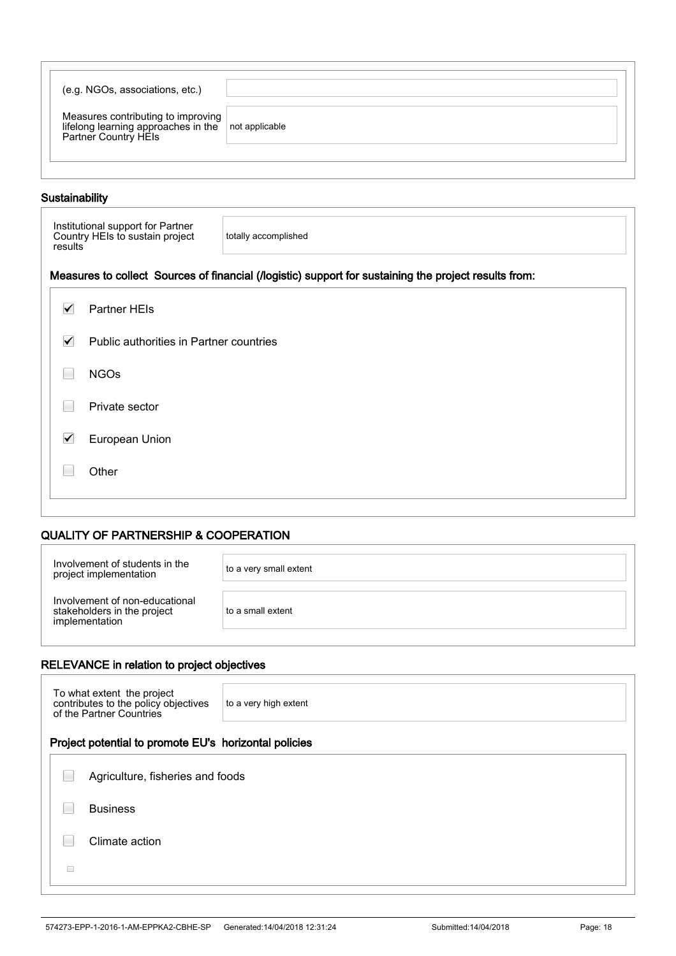| (e.g. NGOs, associations, etc.)                                                                   |  |
|---------------------------------------------------------------------------------------------------|--|
| Measures contributing to improving<br>lifelong learning approaches in the<br>Partner Country HEIs |  |
|                                                                                                   |  |

### Sustainability

İ

İ

İ

| Institutional support for Partner<br>Country HEIs to sustain project<br>results | totally accomplished |
|---------------------------------------------------------------------------------|----------------------|
|---------------------------------------------------------------------------------|----------------------|

### Measures to collect Sources of financial (/logistic) support for sustaining the project results from:

| $\blacktriangledown$ | Partner HEIs                            |  |
|----------------------|-----------------------------------------|--|
| $\blacktriangledown$ | Public authorities in Partner countries |  |
|                      | <b>NGOs</b>                             |  |
| L.                   | Private sector                          |  |
| $\blacktriangledown$ | European Union                          |  |
|                      | Other                                   |  |
|                      |                                         |  |

### QUALITY OF PARTNERSHIP & COOPERATION

| Involvement of students in the<br>project implementation                        | to a very small extent |
|---------------------------------------------------------------------------------|------------------------|
| Involvement of non-educational<br>stakeholders in the project<br>implementation | to a small extent      |

### RELEVANCE in relation to project objectives

| To what extent the project<br>contributes to the policy objectives<br>of the Partner Countries | to a very high extent                                 |  |  |  |  |  |
|------------------------------------------------------------------------------------------------|-------------------------------------------------------|--|--|--|--|--|
|                                                                                                | Project potential to promote EU's horizontal policies |  |  |  |  |  |
| Agriculture, fisheries and foods                                                               |                                                       |  |  |  |  |  |
| <b>Business</b>                                                                                |                                                       |  |  |  |  |  |
| Climate action                                                                                 |                                                       |  |  |  |  |  |
| ∩                                                                                              |                                                       |  |  |  |  |  |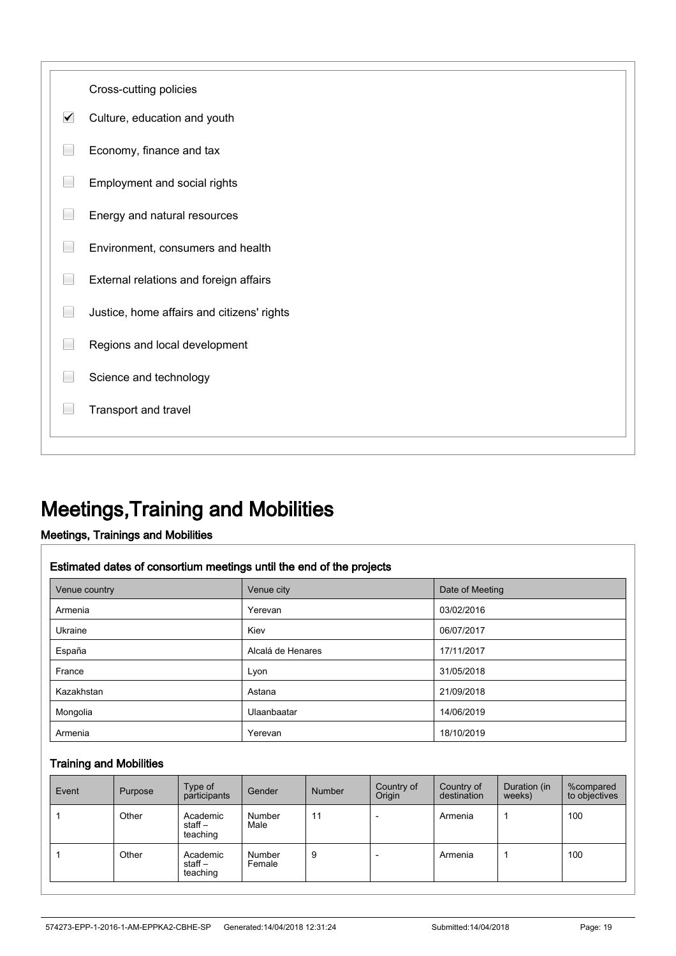

## Meetings,Training and Mobilities

### Meetings, Trainings and Mobilities

#### Estimated dates of consortium meetings until the end of the projects

| Venue country | Venue city        | Date of Meeting |  |  |
|---------------|-------------------|-----------------|--|--|
| Armenia       | Yerevan           | 03/02/2016      |  |  |
| Ukraine       | Kiev              | 06/07/2017      |  |  |
| España        | Alcalá de Henares | 17/11/2017      |  |  |
| France        | Lyon              | 31/05/2018      |  |  |
| Kazakhstan    | Astana            | 21/09/2018      |  |  |
| Mongolia      | Ulaanbaatar       | 14/06/2019      |  |  |
| Armenia       | Yerevan           | 18/10/2019      |  |  |

#### Training and Mobilities

| Event | Purpose | Type of<br>participants        | Gender           | Number | Country of<br>Origin | Country of<br>destination | Duration (in<br>weeks) | %compared<br>to objectives |
|-------|---------|--------------------------------|------------------|--------|----------------------|---------------------------|------------------------|----------------------------|
|       | Other   | Academic<br>staff-<br>teaching | Number<br>Male   | 11     |                      | Armenia                   |                        | 100                        |
|       | Other   | Academic<br>staff-<br>teaching | Number<br>Female | 9      |                      | Armenia                   |                        | 100                        |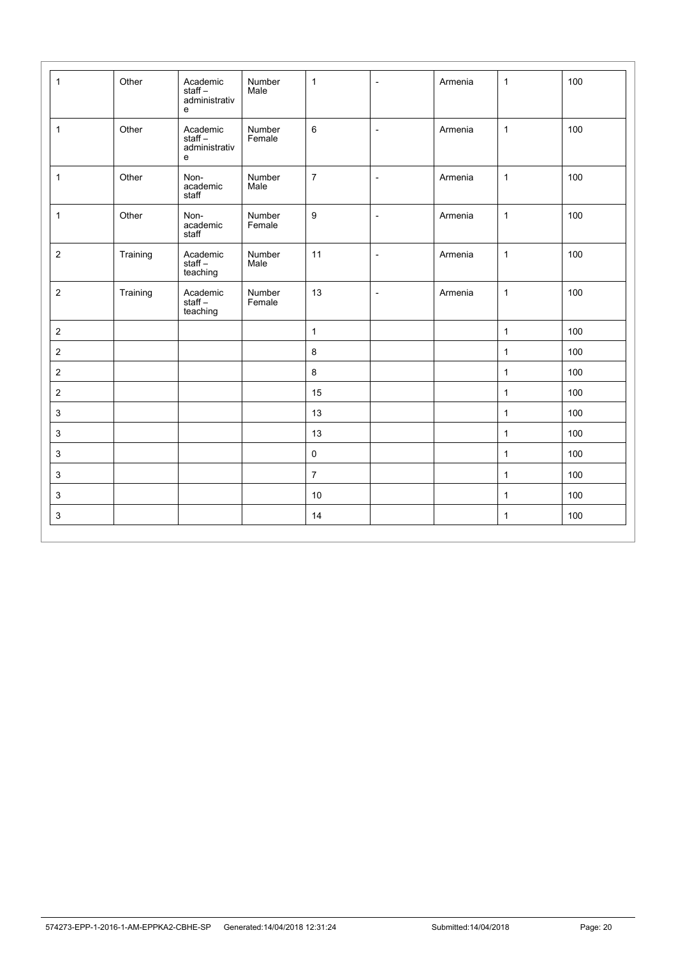| $\mathbf{1}$              | Other    | Academic<br>staff-<br>administrativ<br>e | Number<br>Male   | $\mathbf{1}$     | $\overline{\phantom{a}}$ | Armenia | $\mathbf{1}$ | 100 |
|---------------------------|----------|------------------------------------------|------------------|------------------|--------------------------|---------|--------------|-----|
| $\mathbf{1}$              | Other    | Academic<br>staff-<br>administrativ<br>e | Number<br>Female | 6                | $\overline{\phantom{a}}$ | Armenia | $\mathbf{1}$ | 100 |
| $\mathbf{1}$              | Other    | Non-<br>academic<br>staff                | Number<br>Male   | $\overline{7}$   | $\overline{\phantom{a}}$ | Armenia | $\mathbf{1}$ | 100 |
| $\mathbf{1}$              | Other    | Non-<br>academic<br>staff                | Number<br>Female | $\boldsymbol{9}$ | $\overline{\phantom{a}}$ | Armenia | $\mathbf{1}$ | 100 |
| $\overline{2}$            | Training | Academic<br>$stat -$<br>teaching         | Number<br>Male   | 11               | $\overline{\phantom{a}}$ | Armenia | $\mathbf{1}$ | 100 |
| $\sqrt{2}$                | Training | Academic<br>staff –<br>teaching          | Number<br>Female | 13               | $\overline{\phantom{a}}$ | Armenia | $\mathbf{1}$ | 100 |
| $\overline{2}$            |          |                                          |                  | $\mathbf{1}$     |                          |         | $\mathbf{1}$ | 100 |
| $\overline{2}$            |          |                                          |                  | $\bf 8$          |                          |         | $\mathbf{1}$ | 100 |
| $\overline{2}$            |          |                                          |                  | $\bf 8$          |                          |         | $\mathbf{1}$ | 100 |
| $\overline{2}$            |          |                                          |                  | 15               |                          |         | $\mathbf{1}$ | 100 |
| $\mathbf{3}$              |          |                                          |                  | 13               |                          |         | $\mathbf{1}$ | 100 |
| $\mathsf 3$               |          |                                          |                  | 13               |                          |         | $\mathbf{1}$ | 100 |
| $\ensuremath{\mathsf{3}}$ |          |                                          |                  | $\mathsf 0$      |                          |         | $\mathbf{1}$ | 100 |
| 3                         |          |                                          |                  | $\overline{7}$   |                          |         | $\mathbf{1}$ | 100 |
| $\ensuremath{\mathsf{3}}$ |          |                                          |                  | 10               |                          |         | $\mathbf{1}$ | 100 |
| $\ensuremath{\mathsf{3}}$ |          |                                          |                  | 14               |                          |         | $\mathbf{1}$ | 100 |